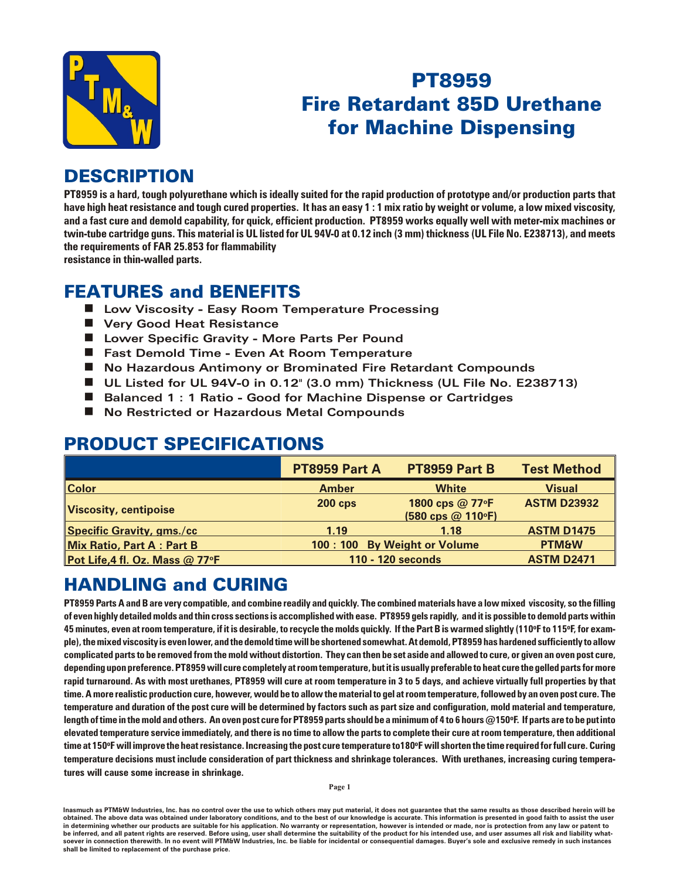

# **PT8959 Fire Retardant 85D Urethane for Machine Dispensing**

#### **DESCRIPTION**

PT8959 is a hard, tough polyurethane which is ideally suited for the rapid production of prototype and/or production parts that have high heat resistance and tough cured properties. It has an easy 1:1 mix ratio by weight or volume, a low mixed viscosity, and a fast cure and demold capability, for quick, efficient production. PT8959 works equally well with meter-mix machines or twin-tube cartridge guns. This material is UL listed for UL 94V-0 at 0.12 inch (3 mm) thickness (UL File No. E238713), and meets the requirements of FAR 25.853 for flammability

resistance in thin-walled parts.

#### **FEATURES and BENEFITS**

- Low Viscosity Easy Room Temperature Processing
- Very Good Heat Resistance
- Lower Specific Gravity More Parts Per Pound
- Fast Demold Time Even At Room Temperature
- No Hazardous Antimony or Brominated Fire Retardant Compounds
- UL Listed for UL 94V-0 in 0.12" (3.0 mm) Thickness (UL File No. E238713)
- Balanced 1: 1 Ratio Good for Machine Dispense or Cartridges
- No Restricted or Hazardous Metal Compounds

## **PRODUCT SPECIFICATIONS**

|                                  | <b>PT8959 Part A</b>          | PT8959 Part B                        | <b>Test Method</b> |
|----------------------------------|-------------------------------|--------------------------------------|--------------------|
| <b>Color</b>                     | <b>Amber</b>                  | <b>White</b>                         | <b>Visual</b>      |
| <b>Viscosity, centipoise</b>     | <b>200 cps</b>                | 1800 cps @ 77°F<br>(580 cps @ 110°F) | <b>ASTM D23932</b> |
| <b>Specific Gravity, gms./cc</b> | 1.19                          | 1.18                                 | <b>ASTM D1475</b>  |
| <b>Mix Ratio, Part A: Part B</b> | 100 : 100 By Weight or Volume |                                      | <b>PTM&amp;W</b>   |
| Pot Life, 4 fl. Oz. Mass @ 77°F  | 110 - 120 seconds             |                                      | <b>ASTM D2471</b>  |

## **HANDLING and CURING**

PT8959 Parts A and B are very compatible, and combine readily and quickly. The combined materials have a low mixed viscosity, so the filling of even highly detailed molds and thin cross sections is accomplished with ease. PT8959 gels rapidly, and it is possible to demold parts within 45 minutes, even at room temperature, if it is desirable, to recycle the molds quickly. If the Part B is warmed slightly (110°F to 115°F, for example), the mixed viscosity is even lower, and the demold time will be shortened somewhat. At demold, PT8959 has hardened sufficiently to allow complicated parts to be removed from the mold without distortion. They can then be set aside and allowed to cure, or given an oven post cure, depending upon preference. PT8959 will cure completely at room temperature, but it is usually preferable to heat cure the gelled parts for more rapid turnaround. As with most urethanes, PT8959 will cure at room temperature in 3 to 5 days, and achieve virtually full properties by that time. A more realistic production cure, however, would be to allow the material to gel at room temperature, followed by an oven post cure. The temperature and duration of the post cure will be determined by factors such as part size and configuration, mold material and temperature, length of time in the mold and others. An oven post cure for PT8959 parts should be a minimum of 4 to 6 hours @150°F. If parts are to be put into elevated temperature service immediately, and there is no time to allow the parts to complete their cure at room temperature, then additional time at 150°F will improve the heat resistance. Increasing the post cure temperature to180°F will shorten the time required for full cure. Curing temperature decisions must include consideration of part thickness and shrinkage tolerances. With urethanes, increasing curing temperatures will cause some increase in shrinkage.

Inasmuch as PTM&W Industries, Inc. has no control over the use to which others may put material, it does not guarantee that the same results as those described herein will be obtained. The above data was obtained under laboratory conditions, and to the best of our knowledge is accurate. This information is presented in good faith to assist the user in determining whether our products are suitable for his application. No warranty or representation, however is intended or made, nor is protection from any law be inferred, and all patent rights are reserved. Before using, user shall determine the suitability of the product for his intended use, and user assumes all risk and liability whatsoever in connection therewith. In no event will PTM&W Industries, Inc. be liable for incidental or consequential damages. Buyer's sole and exclusive remedy in such instances shall be limited to replacement of the purchase price.